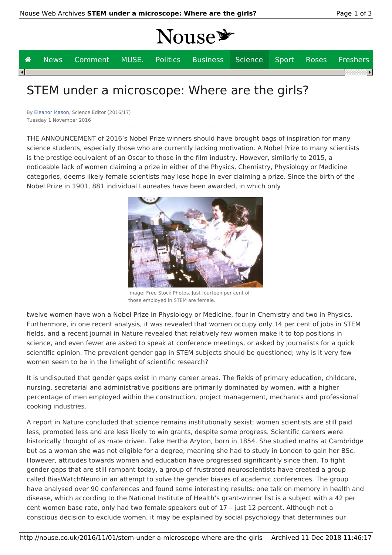# Nouse\*

|  | <b>A</b> News Comment MUSE. Politics Business Science Sport Roses Freshers |  |  |  |                          |
|--|----------------------------------------------------------------------------|--|--|--|--------------------------|
|  |                                                                            |  |  |  | $\overline{\phantom{a}}$ |
|  |                                                                            |  |  |  |                          |

### STEM under a microscope: Where are the girls?

By Eleanor Mason, Science Editor (2016/17) Tuesday 1 November 2016

THE ANNOUNCEMENT of 2016's Nobel Prize winners should have brought bags of inspiration for many science students, especially those who are currently lacking motivation. A Nobel Prize to many scientists is the prestige equivalent of an Oscar to those in the film industry. However, similarly to 2015, a noticeable lack of women claiming a prize in either of the Physics, Chemistry, Physiology or Medicine categories, deems likely female scientists may lose hope in ever claiming a prize. Since the birth of the Nobel Prize in 1901, 881 individual Laureates have been awarded, in which only



Image: Free Stock Photos. Just fourteen per cent of those employed in STEM are female.

twelve women have won a Nobel Prize in Physiology or Medicine, four in Chemistry and two in Physics. Furthermore, in one recent analysis, it was revealed that women occupy only 14 per cent of jobs in STEM fields, and a recent journal in Nature revealed that relatively few women make it to top positions in science, and even fewer are asked to speak at conference meetings, or asked by journalists for a quick scientific opinion. The prevalent gender gap in STEM subjects should be questioned; why is it very few women seem to be in the limelight of scientific research?

It is undisputed that gender gaps exist in many career areas. The fields of primary education, childcare, nursing, secretarial and administrative positions are primarily dominated by women, with a higher percentage of men employed within the construction, project management, mechanics and professional cooking industries.

A report in Nature concluded that science remains institutionally sexist; women scientists are still paid less, promoted less and are less likely to win grants, despite some progress. Scientific careers were historically thought of as male driven. Take Hertha Aryton, born in 1854. She studied maths at Cambridge but as a woman she was not eligible for a degree, meaning she had to study in London to gain her BSc. However, attitudes towards women and education have progressed significantly since then. To fight gender gaps that are still rampant today, a group of frustrated neuroscientists have created a group called BiasWatchNeuro in an attempt to solve the gender biases of academic conferences. The group have analysed over 90 conferences and found some interesting results: one talk on memory in health and disease, which according to the National Institute of Health's grant-winner list is a subject with a 42 per cent women base rate, only had two female speakers out of 17 – just 12 percent. Although not a conscious decision to exclude women, it may be explained by social psychology that determines our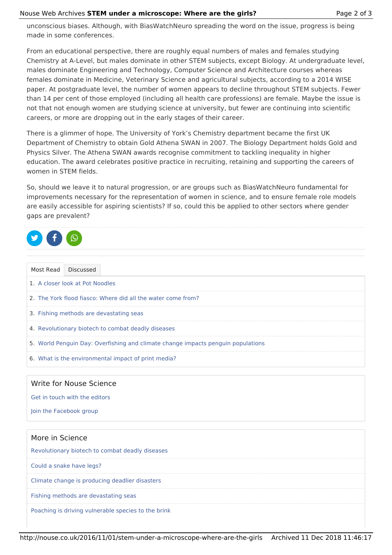#### Nouse Web Archives **STEM under a microscope: Where are the girls?** Page 2 of 3

unconscious biases. Although, with BiasWatchNeuro spreading the word on the issue, progress is being made in some conferences.

From an educational perspective, there are roughly equal numbers of males and females studying Chemistry at A-Level, but males dominate in other STEM subjects, except Biology. At undergraduate level, males dominate Engineering and Technology, Computer Science and Architecture courses whereas females dominate in Medicine, Veterinary Science and agricultural subjects, according to a 2014 WISE paper. At postgraduate level, the number of women appears to decline throughout STEM subjects. Fewer than 14 per cent of those employed (including all health care professions) are female. Maybe the issue is not that not enough women are studying science at university, but fewer are continuing into scientific careers, or more are dropping out in the early stages of their career.

There is a glimmer of hope. The University of York's Chemistry department became the first UK Department of Chemistry to obtain Gold Athena SWAN in 2007. The Biology Department holds Gold and Physics Silver. The Athena SWAN awards recognise commitment to tackling inequality in higher education. The award celebrates positive practice in recruiting, retaining and supporting the careers of women in STEM fields.

So, should we leave it to natural progression, or are groups such as BiasWatchNeuro fundamental for improvements necessary for the representation of women in science, and to ensure female role models are easily accessible for aspiring scientists? If so, could this be applied to other sectors where gender gaps are prevalent?

|--|

| Most Read | Discussed                                                                        |
|-----------|----------------------------------------------------------------------------------|
|           | 1. A closer look at Pot Noodles                                                  |
|           | 2. The York flood fiasco: Where did all the water come from?                     |
|           | 3. Fishing methods are devastating seas                                          |
|           | 4. Revolutionary biotech to combat deadly diseases                               |
|           | 5. World Penguin Day: Overfishing and climate change impacts penguin populations |
|           | 6. What is the environmental impact of print media?                              |

### Write for Nouse Science

Get in touch with the editors

Join the Facebook group

## More in Science Revolutionary biotech to combat deadly diseases Could a snake have legs? Climate change is producing deadlier disasters Fishing methods are devastating seas Poaching is driving vulnerable species to the brink